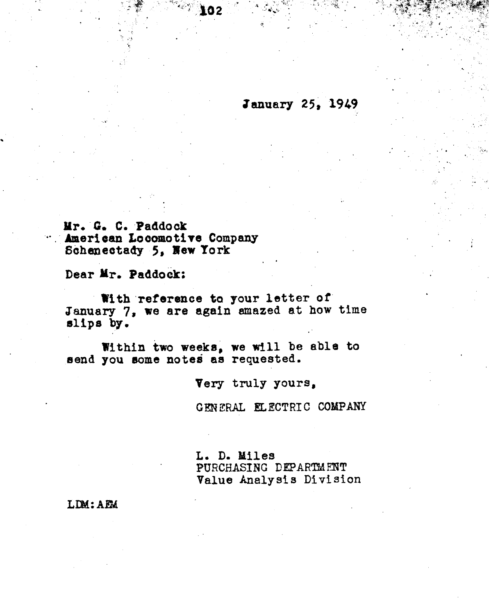**January 25, 1949** 

Mr. G. C. Paddock American Locomotive Company Schenectady 5, New York

Dear Mr. Paddock:

With reference to your letter of January 7, we are again amazed at how time slips by.

Within two weeks, we will be able to send you some notes as requested.

Very truly yours.

GENERAL ELECTRIC COMPANY

L. D. Miles PURCHASING DEPARTMENT Value Analysis Division

LDM: AEM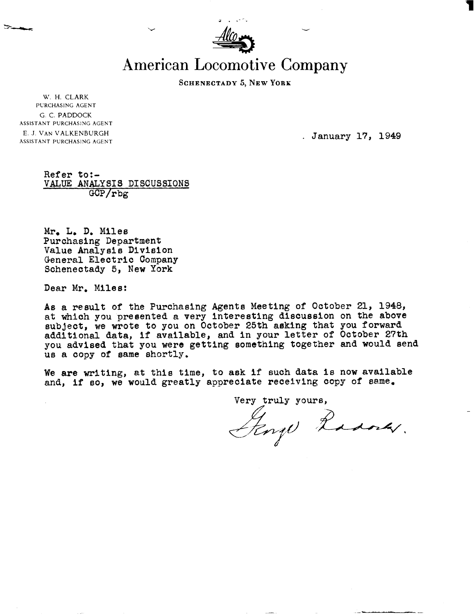| $\underline{\mathcal{A}}\underline{\mathcal{I}}\underline{\phi}$ .<br>÷ |  |
|-------------------------------------------------------------------------|--|

**American Locomotive Company** 

SCHENECTADY 5, NEW YORK

W. H. CLARK **PL'RCHASING AGENT**  G. C. PADDOCK **ASSISTANT PURCHASING AGENT**  E. **J. VAN** VALKENBURGH **ASSISTANT PURCHASING AGENT** 

. January 17, 1949

## Refer to:- VALUE **ANALYSIS** DISCUSSIONS GCP/rbg

Mr. **L, D,** Miles Purchasing Department Value Analysis Division General Electric Company Schenectady 5, New York

Dear Mr. Miles:

As a result of the Purchasing Agents Meeting of October 21, 1348, at which you presented a very interesting discussion on the above subject, we wrote to you on October 25th asking that you forward additional data, if available, **and** in your letter of October 27th you advised that you were getting something together and would send us a copy of same shortly.

We are writing, at this time, to ask if such data is now available and, if so, we would greatly appreciate receiving copy of **same.** 

Very truly yours, **A**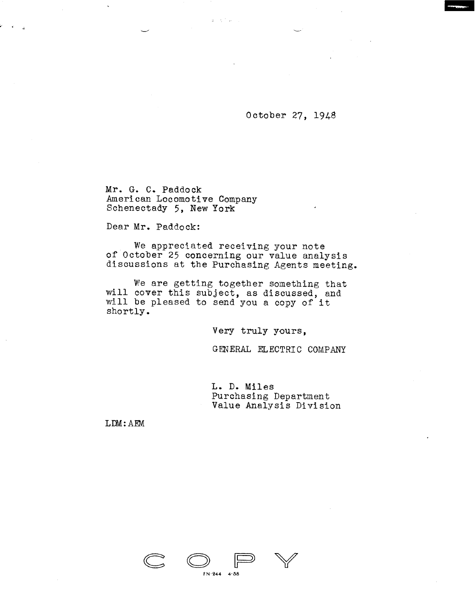October 27, 1948

Mr. G. C. Paddock American Locomotive Company Schenectady 5, New York

Dear Mr. Paddock:

We appreciated receiving your note of October 25 concerning our value analysis discussions at the Purchasing Agents meeting.

**Carl Carl** 

We are getting together something that will cover this subject, as discussed, and will be pleased to send you a copy of it shortly.

**Very** truly yours,

GENERAL ELECTRIC COMPANY

L. D. **Miles**  Purchasing Department Value Analysis Division

LDM: AEM